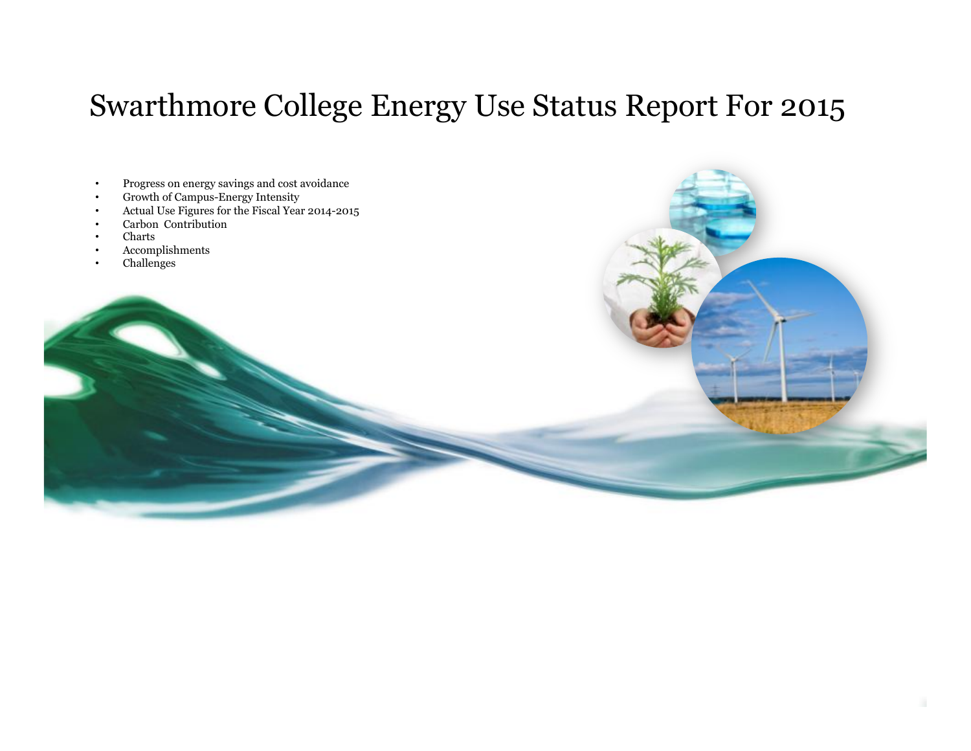# Swarthmore College Energy Use Status Report For 2015

- Progress on energy savings and cost avoidance
- Growth of Campus-Energy Intensity
- Actual Use Figures for the Fiscal Year 2014-2015
- Carbon Contribution

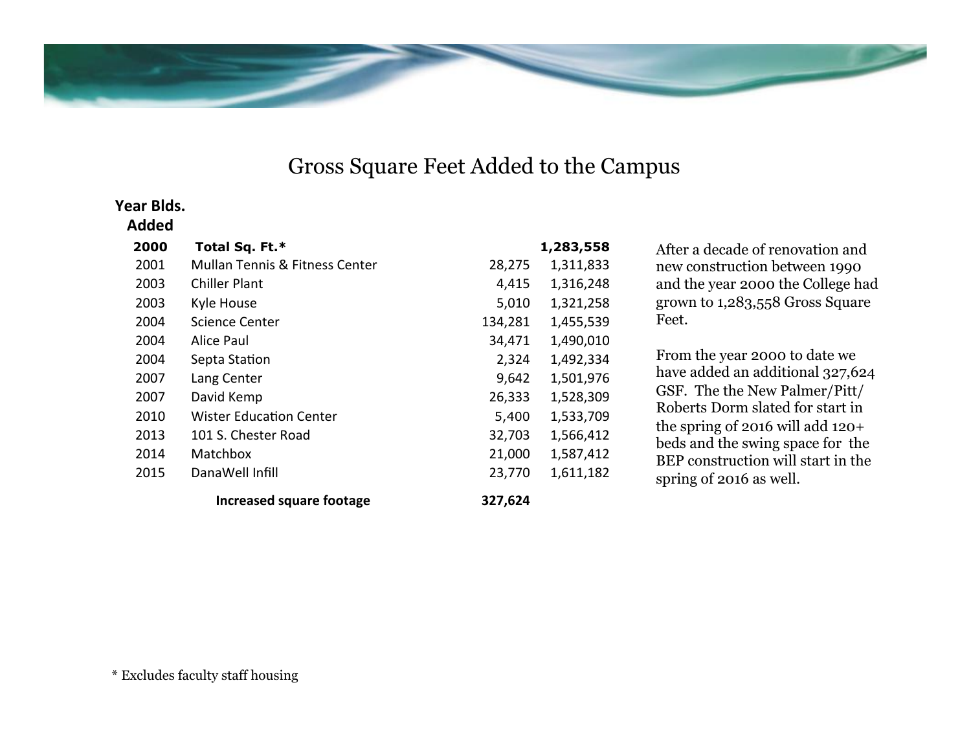

## Gross Square Feet Added to the Campus

#### Year **Blds.**

| 2000 | Total Sq. Ft.*                            |         | 1,283,558 |
|------|-------------------------------------------|---------|-----------|
| 2001 | <b>Mullan Tennis &amp; Fitness Center</b> | 28,275  | 1,311,833 |
| 2003 | Chiller Plant                             | 4,415   | 1,316,248 |
| 2003 | Kyle House                                | 5,010   | 1,321,258 |
| 2004 | <b>Science Center</b>                     | 134,281 | 1,455,539 |
| 2004 | Alice Paul                                | 34,471  | 1,490,010 |
| 2004 | Septa Station                             | 2,324   | 1,492,334 |
| 2007 | Lang Center                               | 9,642   | 1,501,976 |
| 2007 | David Kemp                                | 26,333  | 1,528,309 |
| 2010 | <b>Wister Education Center</b>            | 5,400   | 1,533,709 |
| 2013 | 101 S. Chester Road                       | 32,703  | 1,566,412 |
| 2014 | Matchbox                                  | 21,000  | 1,587,412 |
| 2015 | DanaWell Infill                           | 23,770  | 1,611,182 |
|      | Increased square footage                  | 327,624 |           |

After a decade of renovation and new construction between 1990 and the year 2000 the College had grown to 1,283,558 Gross Square Feet.

From the year 2000 to date we have added an additional 327,624 GSF. The the New Palmer/Pitt/ Roberts Dorm slated for start in the spring of 2016 will add 120+ beds and the swing space for the BEP construction will start in the spring of 2016 as well.

\* Excludes faculty staff housing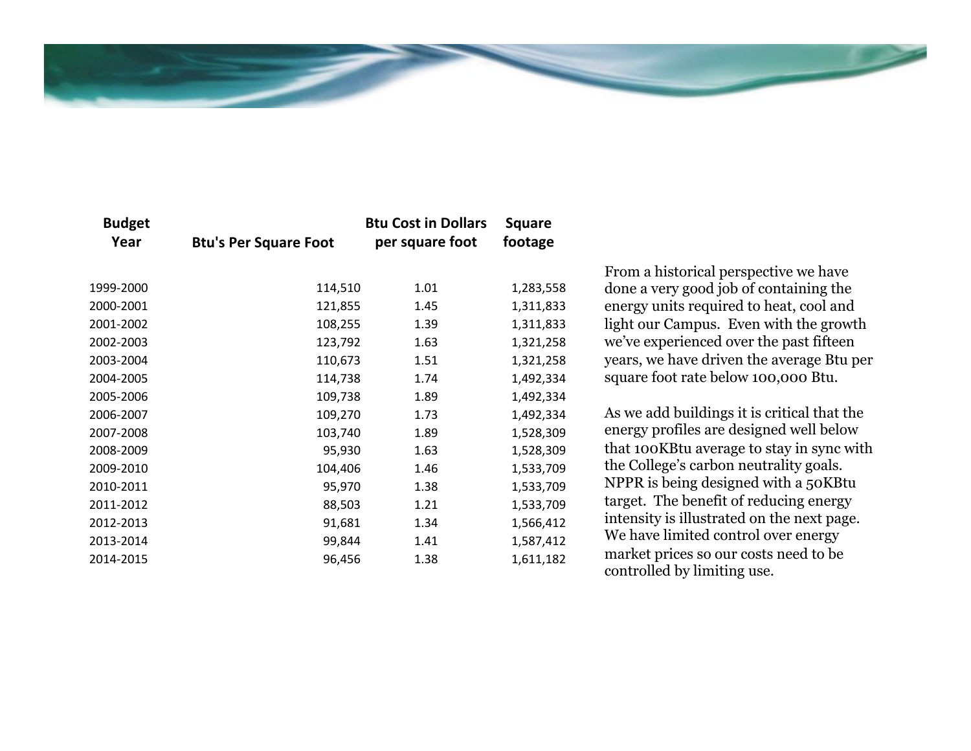

| <b>Budget</b><br>Year | <b>Btu's Per Square Foot</b> | <b>Btu Cost in Dollars</b><br>per square foot | <b>Square</b><br>footage |
|-----------------------|------------------------------|-----------------------------------------------|--------------------------|
| 1999-2000             | 114,510                      | 1.01                                          | 1,283,558                |
| 2000-2001             | 121,855                      | 1.45                                          | 1,311,833                |
| 2001-2002             | 108,255                      | 1.39                                          | 1,311,833                |
| 2002-2003             | 123,792                      | 1.63                                          | 1,321,258                |
| 2003-2004             | 110,673                      | 1.51                                          | 1,321,258                |
| 2004-2005             | 114,738                      | 1.74                                          | 1,492,334                |
| 2005-2006             | 109,738                      | 1.89                                          | 1,492,334                |
| 2006-2007             | 109,270                      | 1.73                                          | 1,492,334                |
| 2007-2008             | 103,740                      | 1.89                                          | 1,528,309                |
| 2008-2009             | 95,930                       | 1.63                                          | 1,528,309                |
| 2009-2010             | 104,406                      | 1.46                                          | 1,533,709                |
| 2010-2011             | 95,970                       | 1.38                                          | 1,533,709                |
| 2011-2012             | 88,503                       | 1.21                                          | 1,533,709                |
| 2012-2013             | 91,681                       | 1.34                                          | 1,566,412                |
| 2013-2014             | 99,844                       | 1.41                                          | 1,587,412                |
| 2014-2015             | 96,456                       | 1.38                                          | 1,611,182                |

From a historical perspective we have done a very good job of containing the energy units required to heat, cool and light our Campus. Even with the growth we've experienced over the past fifteen years, we have driven the average Btu per square foot rate below 100,000 Btu.

As we add buildings it is critical that the energy profiles are designed well below that 100KBtu average to stay in sync with the College's carbon neutrality goals. NPPR is being designed with a 50KBtu target. The benefit of reducing energy intensity is illustrated on the next page. We have limited control over energy market prices so our costs need to be controlled by limiting use.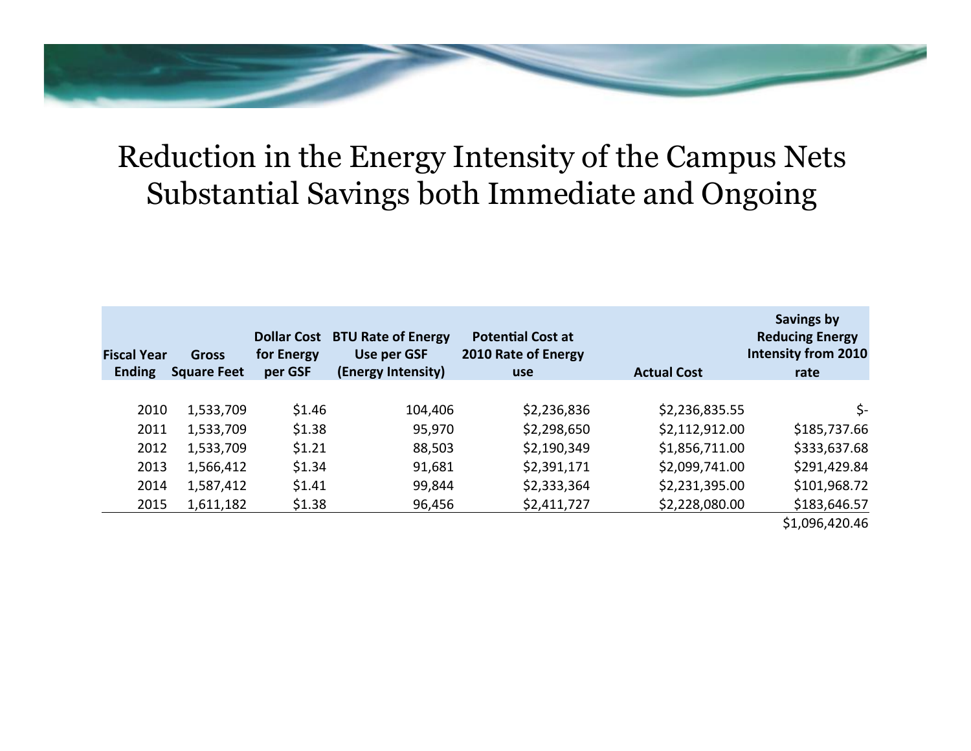# Reduction in the Energy Intensity of the Campus Nets Substantial Savings both Immediate and Ongoing

| <b>Fiscal Year</b><br><b>Ending</b> | <b>Gross</b><br><b>Square Feet</b> | <b>Dollar Cost</b><br>for Energy<br>per GSF | <b>BTU Rate of Energy</b><br>Use per GSF<br>(Energy Intensity) | <b>Potential Cost at</b><br>2010 Rate of Energy<br><b>use</b> | <b>Actual Cost</b> | Savings by<br><b>Reducing Energy</b><br><b>Intensity from 2010</b><br>rate |
|-------------------------------------|------------------------------------|---------------------------------------------|----------------------------------------------------------------|---------------------------------------------------------------|--------------------|----------------------------------------------------------------------------|
|                                     |                                    |                                             |                                                                |                                                               |                    |                                                                            |
| 2010                                | 1,533,709                          | \$1.46                                      | 104,406                                                        | \$2,236,836                                                   | \$2,236,835.55     | \$-                                                                        |
| 2011                                | 1,533,709                          | \$1.38                                      | 95,970                                                         | \$2,298,650                                                   | \$2,112,912.00     | \$185,737.66                                                               |
| 2012                                | 1,533,709                          | \$1.21                                      | 88,503                                                         | \$2,190,349                                                   | \$1,856,711.00     | \$333,637.68                                                               |
| 2013                                | 1,566,412                          | \$1.34                                      | 91,681                                                         | \$2,391,171                                                   | \$2,099,741.00     | \$291,429.84                                                               |
| 2014                                | 1,587,412                          | \$1.41                                      | 99,844                                                         | \$2,333,364                                                   | \$2,231,395.00     | \$101,968.72                                                               |
| 2015                                | 1,611,182                          | \$1.38                                      | 96,456                                                         | \$2,411,727                                                   | \$2,228,080.00     | \$183,646.57                                                               |
|                                     |                                    |                                             |                                                                |                                                               |                    | \$1,096,420.46                                                             |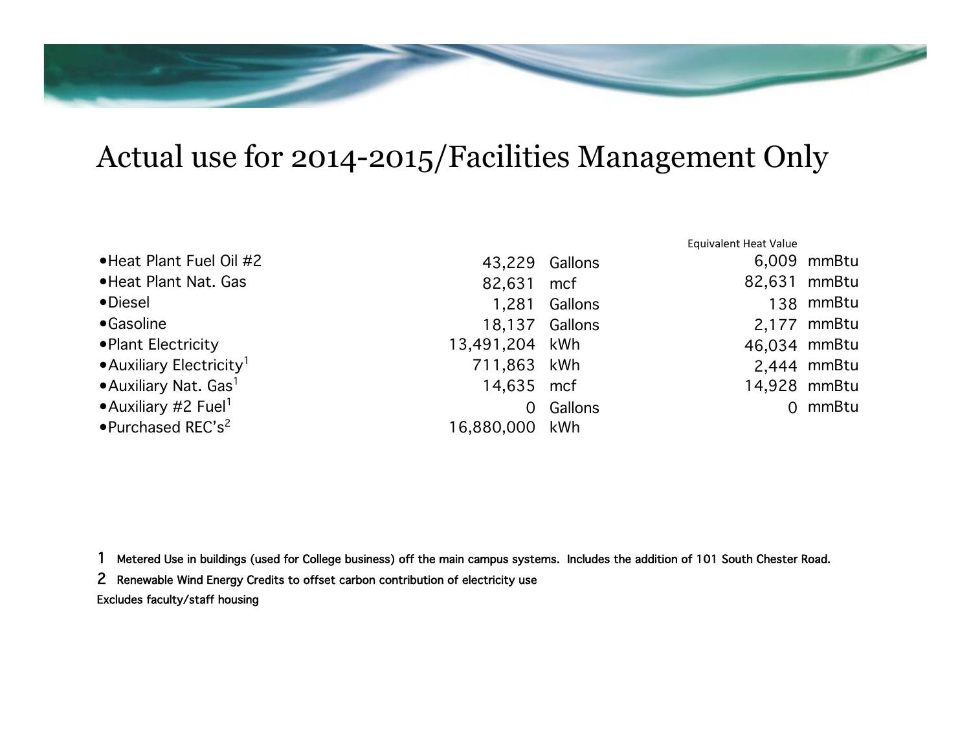## Actual use for 2014-2015/Facilities Management Only

|                                        |                |         | <b>Equivalent Heat Value</b> |              |
|----------------------------------------|----------------|---------|------------------------------|--------------|
| • Heat Plant Fuel Oil #2               | 43,229         | Gallons |                              | 6,009 mmBtu  |
| • Heat Plant Nat. Gas                  | 82,631         | mcf     | 82,631 mmBtu                 |              |
| •Diesel                                | 1,281          | Gallons |                              | 138 mmBtu    |
| •Gasoline                              | 18,137         | Gallons |                              | 2,177 mmBtu  |
| • Plant Electricity                    | 13,491,204 kWh |         |                              | 46,034 mmBtu |
| • Auxiliary Electricity <sup>1</sup>   | 711,863 kWh    |         |                              | 2,444 mmBtu  |
| • Auxiliary Nat. Gas <sup>1</sup>      | 14,635 mcf     |         |                              | 14,928 mmBtu |
| • Auxiliary #2 Fuel <sup>1</sup>       | 0              | Gallons |                              | 0 mmBtu      |
| $\bullet$ Purchased REC's <sup>2</sup> | 16,880,000 kWh |         |                              |              |

1 Metered Use in buildings (used for College business) off the main campus systems. Includes the addition of 101 South Chester Road.!

2 Renewable Wind Energy Credits to offset carbon contribution of electricity use! Excludes faculty/staff housing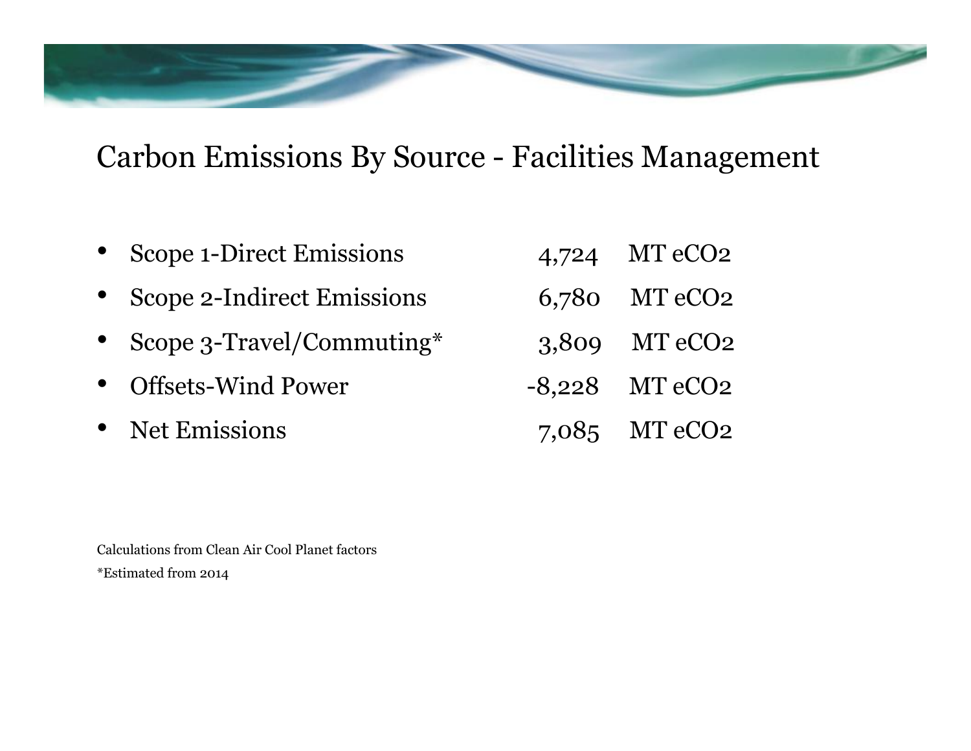## Carbon Emissions By Source - Facilities Management

- Scope 1-Direct Emissions 4,724 MT eCO2
- Scope 2-Indirect Emissions 6,780 MT eCO2
- Scope 3-Travel/Commuting\* 3,809 MT eCO2
- Offsets-Wind Power -8,228 MT eCO2
- 
- 
- 
- 
- 
- Property Met Emissions 7,085 MT eCO2

Calculations from Clean Air Cool Planet factors \*Estimated from 2014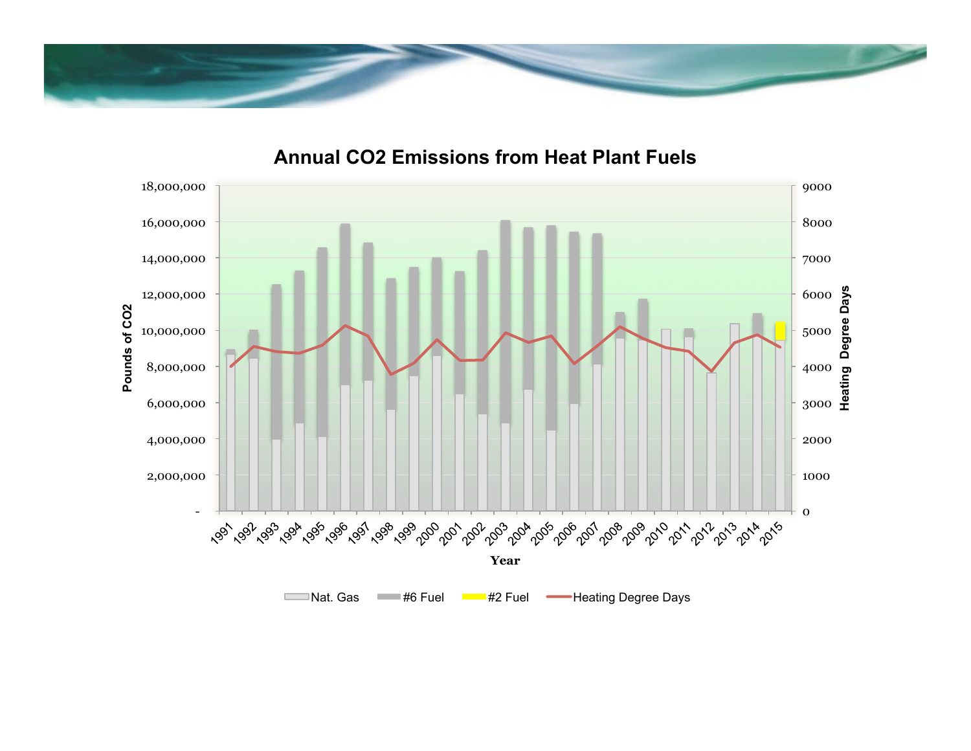



### **Annual CO2 Emissions from Heat Plant Fuels**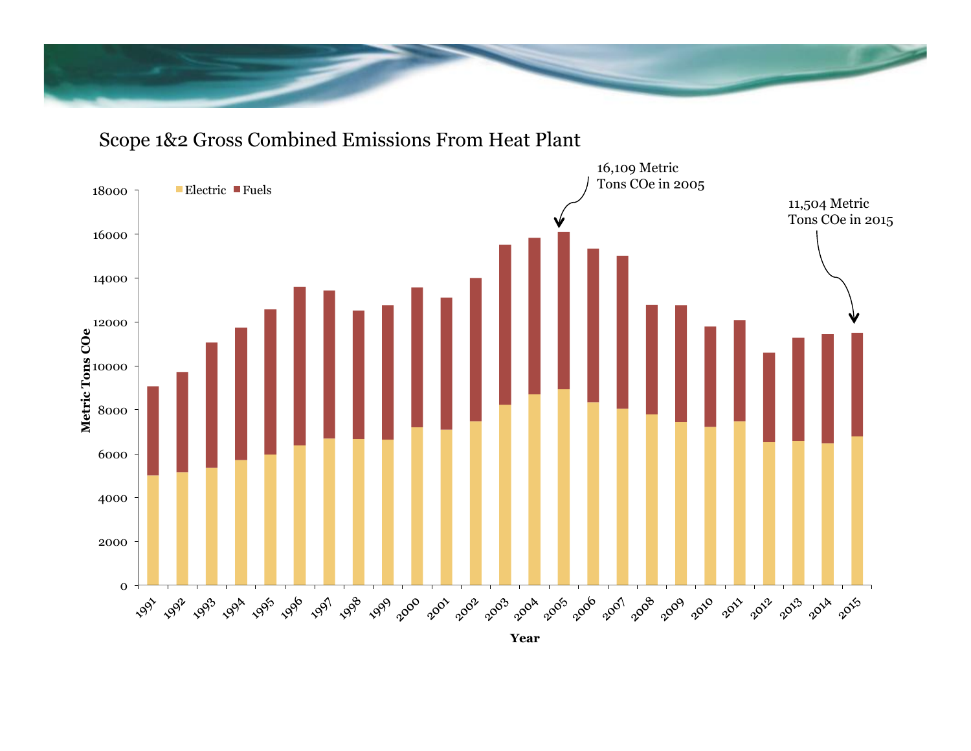

## Scope 1&2 Gross Combined Emissions From Heat Plant



**Year**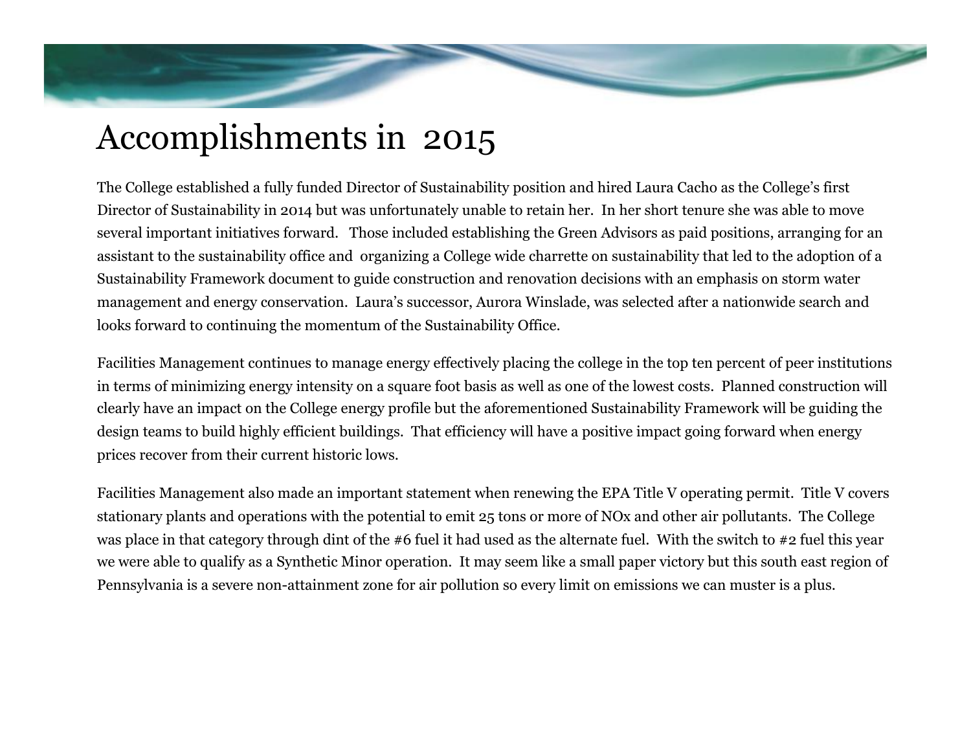# Accomplishments in 2015

The College established a fully funded Director of Sustainability position and hired Laura Cacho as the College's first Director of Sustainability in 2014 but was unfortunately unable to retain her. In her short tenure she was able to move several important initiatives forward. Those included establishing the Green Advisors as paid positions, arranging for an assistant to the sustainability office and organizing a College wide charrette on sustainability that led to the adoption of a Sustainability Framework document to guide construction and renovation decisions with an emphasis on storm water management and energy conservation. Laura's successor, Aurora Winslade, was selected after a nationwide search and looks forward to continuing the momentum of the Sustainability Office.

Facilities Management continues to manage energy effectively placing the college in the top ten percent of peer institutions in terms of minimizing energy intensity on a square foot basis as well as one of the lowest costs. Planned construction will clearly have an impact on the College energy profile but the aforementioned Sustainability Framework will be guiding the design teams to build highly efficient buildings. That efficiency will have a positive impact going forward when energy prices recover from their current historic lows.

Facilities Management also made an important statement when renewing the EPA Title V operating permit. Title V covers stationary plants and operations with the potential to emit 25 tons or more of NOx and other air pollutants. The College was place in that category through dint of the #6 fuel it had used as the alternate fuel. With the switch to #2 fuel this year we were able to qualify as a Synthetic Minor operation. It may seem like a small paper victory but this south east region of Pennsylvania is a severe non-attainment zone for air pollution so every limit on emissions we can muster is a plus.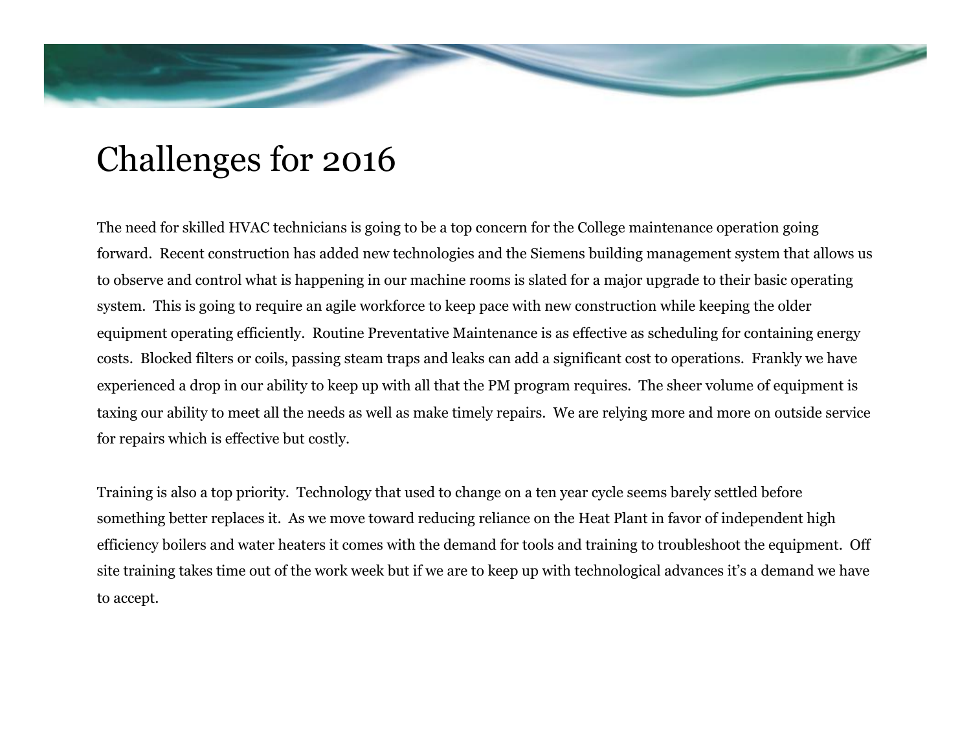# Challenges for 2016

The need for skilled HVAC technicians is going to be a top concern for the College maintenance operation going forward. Recent construction has added new technologies and the Siemens building management system that allows us to observe and control what is happening in our machine rooms is slated for a major upgrade to their basic operating system. This is going to require an agile workforce to keep pace with new construction while keeping the older equipment operating efficiently. Routine Preventative Maintenance is as effective as scheduling for containing energy costs. Blocked filters or coils, passing steam traps and leaks can add a significant cost to operations. Frankly we have experienced a drop in our ability to keep up with all that the PM program requires. The sheer volume of equipment is taxing our ability to meet all the needs as well as make timely repairs. We are relying more and more on outside service for repairs which is effective but costly.

Training is also a top priority. Technology that used to change on a ten year cycle seems barely settled before something better replaces it. As we move toward reducing reliance on the Heat Plant in favor of independent high efficiency boilers and water heaters it comes with the demand for tools and training to troubleshoot the equipment. Off site training takes time out of the work week but if we are to keep up with technological advances it's a demand we have to accept.